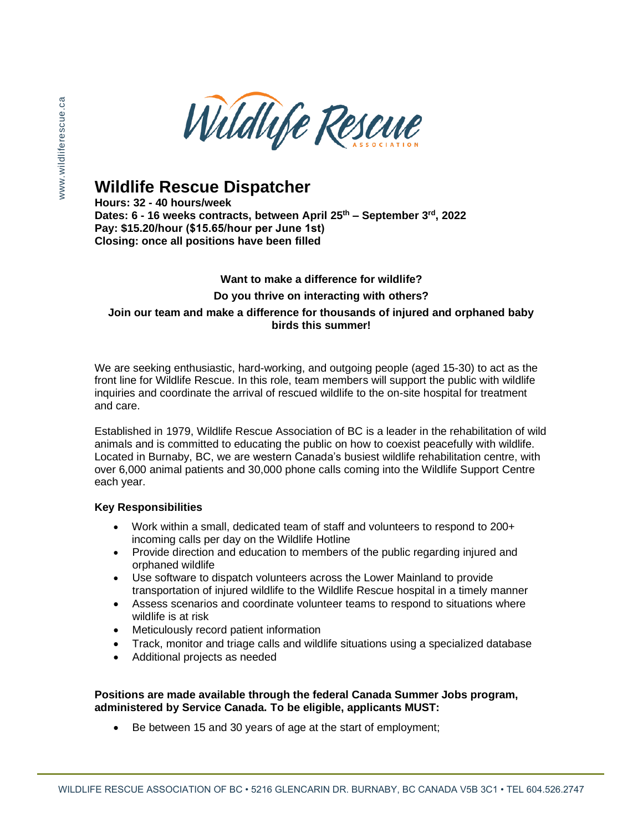

# **Wildlife Rescue Dispatcher**

**Hours: 32 - 40 hours/week** 

**Dates: 6 - 16 weeks contracts, between April 25th – September 3rd, 2022 Pay: \$15.20/hour (\$15.65/hour per June 1st) Closing: once all positions have been filled** 

### **Want to make a difference for wildlife? Do you thrive on interacting with others?**

#### **Join our team and make a difference for thousands of injured and orphaned baby birds this summer!**

We are seeking enthusiastic, hard-working, and outgoing people (aged 15-30) to act as the front line for Wildlife Rescue. In this role, team members will support the public with wildlife inquiries and coordinate the arrival of rescued wildlife to the on-site hospital for treatment and care.

Established in 1979, Wildlife Rescue Association of BC is a leader in the rehabilitation of wild animals and is committed to educating the public on how to coexist peacefully with wildlife. Located in Burnaby, BC, we are western Canada's busiest wildlife rehabilitation centre, with over 6,000 animal patients and 30,000 phone calls coming into the Wildlife Support Centre each year.

#### **Key Responsibilities**

- Work within a small, dedicated team of staff and volunteers to respond to 200+ incoming calls per day on the Wildlife Hotline
- Provide direction and education to members of the public regarding injured and orphaned wildlife
- Use software to dispatch volunteers across the Lower Mainland to provide transportation of injured wildlife to the Wildlife Rescue hospital in a timely manner
- Assess scenarios and coordinate volunteer teams to respond to situations where wildlife is at risk
- Meticulously record patient information
- Track, monitor and triage calls and wildlife situations using a specialized database
- Additional projects as needed

### **Positions are made available through the federal Canada Summer Jobs program, administered by Service Canada. To be eligible, applicants MUST:**

Be between 15 and 30 years of age at the start of employment;